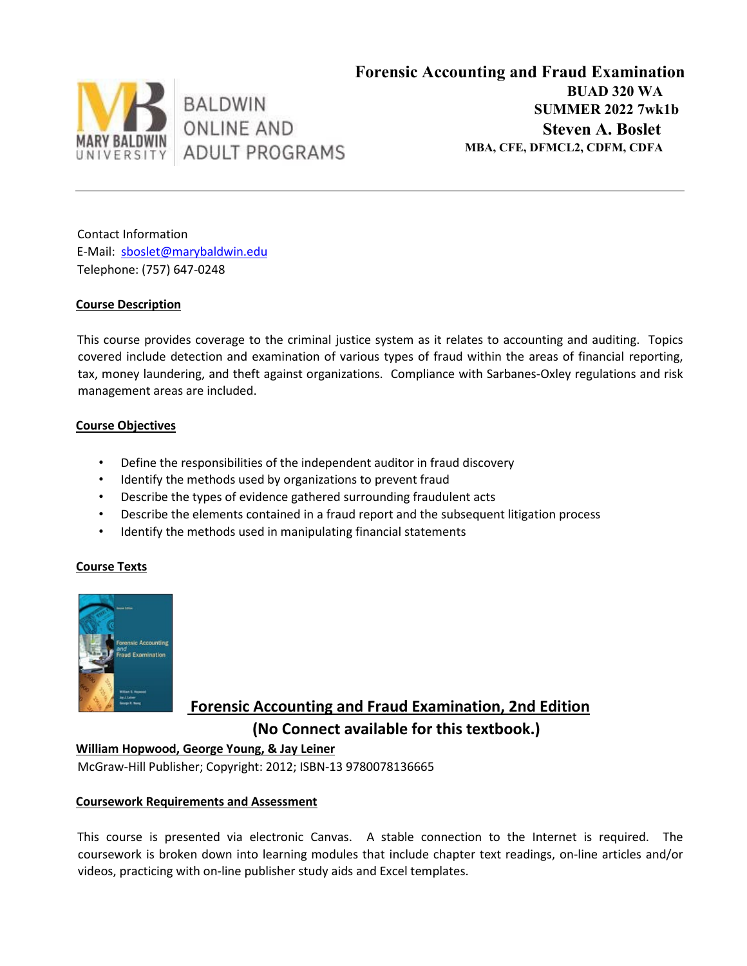

Contact Information E-Mail: sboslet@marybaldwin.edu Telephone: (757) 647-0248

# **Course Description**

This course provides coverage to the criminal justice system as it relates to accounting and auditing. Topics covered include detection and examination of various types of fraud within the areas of financial reporting, tax, money laundering, and theft against organizations. Compliance with Sarbanes-Oxley regulations and risk management areas are included.

## **Course Objectives**

- Define the responsibilities of the independent auditor in fraud discovery
- Identify the methods used by organizations to prevent fraud
- Describe the types of evidence gathered surrounding fraudulent acts
- Describe the elements contained in a fraud report and the subsequent litigation process
- Identify the methods used in manipulating financial statements

## **Course Texts**



 **Forensic Accounting and Fraud Examination, 2nd Edition (No Connect available for this textbook.)**

**William Hopwood, George Young, & Jay Leiner**

McGraw-Hill Publisher; Copyright: 2012; ISBN-13 9780078136665

## **Coursework Requirements and Assessment**

This course is presented via electronic Canvas. A stable connection to the Internet is required. The coursework is broken down into learning modules that include chapter text readings, on-line articles and/or videos, practicing with on-line publisher study aids and Excel templates.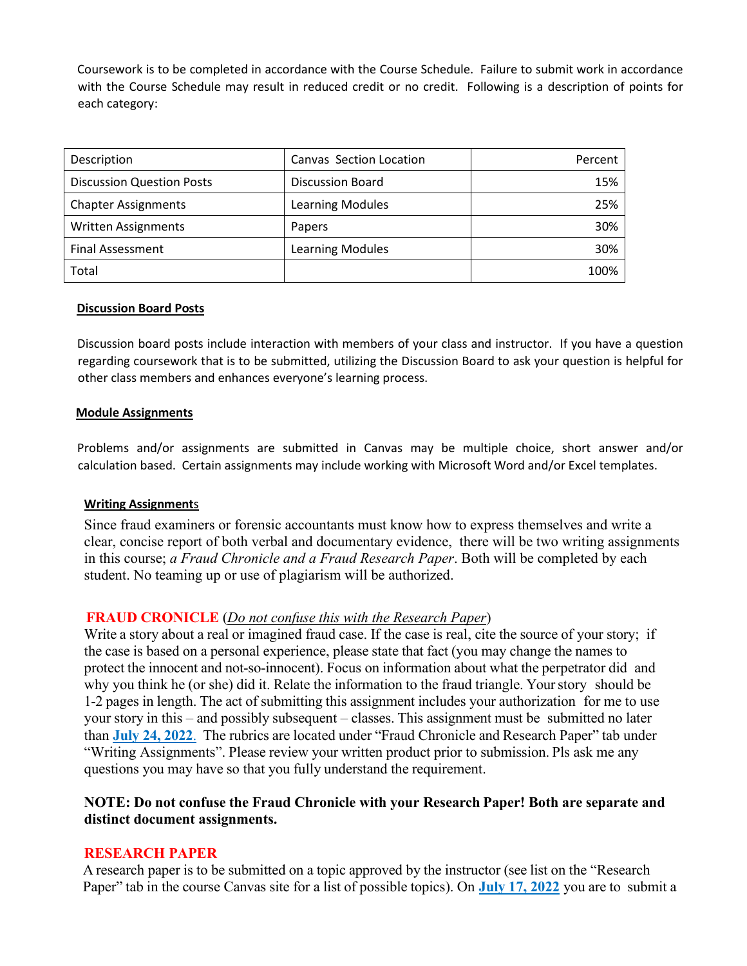Coursework is to be completed in accordance with the Course Schedule. Failure to submit work in accordance with the Course Schedule may result in reduced credit or no credit. Following is a description of points for each category:

| Description                      | Canvas Section Location | Percent |  |
|----------------------------------|-------------------------|---------|--|
| <b>Discussion Question Posts</b> | <b>Discussion Board</b> | 15%     |  |
| <b>Chapter Assignments</b>       | Learning Modules        | 25%     |  |
| <b>Written Assignments</b>       | Papers                  | 30%     |  |
| <b>Final Assessment</b>          | Learning Modules        | 30%     |  |
| Total                            |                         | 100%    |  |

#### **Discussion Board Posts**

Discussion board posts include interaction with members of your class and instructor. If you have a question regarding coursework that is to be submitted, utilizing the Discussion Board to ask your question is helpful for other class members and enhances everyone's learning process.

#### **Module Assignments**

Problems and/or assignments are submitted in Canvas may be multiple choice, short answer and/or calculation based. Certain assignments may include working with Microsoft Word and/or Excel templates.

#### **Writing Assignment**s

Since fraud examiners or forensic accountants must know how to express themselves and write a clear, concise report of both verbal and documentary evidence, there will be two writing assignments in this course; *a Fraud Chronicle and a Fraud Research Paper*. Both will be completed by each student. No teaming up or use of plagiarism will be authorized.

# **FRAUD CRONICLE** (*Do not confuse this with the Research Paper*)

Write a story about a real or imagined fraud case. If the case is real, cite the source of your story; if the case is based on a personal experience, please state that fact (you may change the names to protect the innocent and not-so-innocent). Focus on information about what the perpetrator did and why you think he (or she) did it. Relate the information to the fraud triangle. Your story should be 1-2 pages in length. The act of submitting this assignment includes your authorization for me to use your story in this – and possibly subsequent – classes. This assignment must be submitted no later than **July 24, 2022**. The rubrics are located under "Fraud Chronicle and Research Paper" tab under "Writing Assignments". Please review your written product prior to submission. Pls ask me any questions you may have so that you fully understand the requirement.

# **NOTE: Do not confuse the Fraud Chronicle with your Research Paper! Both are separate and distinct document assignments.**

## **RESEARCH PAPER**

A research paper is to be submitted on a topic approved by the instructor (see list on the "Research Paper" tab in the course Canvas site for a list of possible topics). On **July 17, 2022** you are to submit a